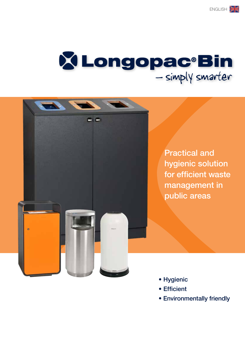# XLongopac<sup>®</sup>Bin<br>-simply smarter

西



- Hygienic
- Efficient
- Environmentally friendly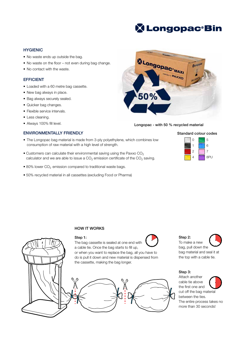## **X Longopac<sup>®</sup>Bin**

#### **HYGIENIC**

- No waste ends up outside the bag.
- No waste on the floor not even during bag change.
- No contact with the waste.

#### EFFICIENT

- Loaded with a 60 metre bag cassette.
- New bag always in place.
- Bag always securely sealed.
- Quicker bag changes.
- Flexible service intervals.
- Less cleaning.
- Always 100% fill level.

#### ENVIRONMENTALLY FRIENDLY

- The Longopac bag material is made from 3-ply polyethylene, which combines low consumption of raw material with a high level of strength.
- Customers can calculate their environmental saving using the Paxxo  $CO<sub>2</sub>$ calculator and we are able to issue a  $CO<sub>2</sub>$  emission certificate of the  $CO<sub>2</sub>$  saving.
- $\bullet$  80% lower CO<sub>2</sub> emission compared to traditional waste bags.
- 50% recycled material in all cassettes (excluding Food or Pharma)



#### Longopac - with 50 % recycled material



#### HOW IT WORKS



#### Step 1:

The bag cassette is sealed at one end with a cable tie. Once the bag starts to fill up, or when you want to replace the bag, all you have to

#### Step 2:

To make a new

bag, pull down the bag material and seal it at the top with a cable tie.

#### Step 3:

Attach another cable tie above the first one and cut off the bag material between the ties. The entire process takes no more than 30 seconds!

Standard colour codes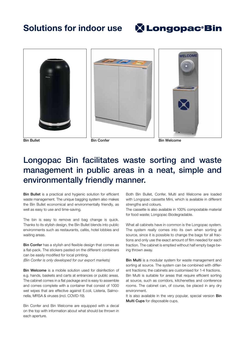## Solutions for indoor use









Bin Bullet **Bin Confer** Bin Confer **Bin Bullet** Bin Welcome

## Longopac Bin facilitates waste sorting and waste management in public areas in a neat, simple and environmentally friendly manner.

Bin Bullet is a practical and hygienic solution for efficient waste management. The unique bagging system also makes the Bin Bullet economical and environmentally friendly, as well as easy to use and time-saving.

The bin is easy to remove and bag change is quick. Thanks to its stylish design, the Bin Bullet blends into public environments such as restaurants, cafés, hotel lobbies and waiting areas.

Bin Confer has a stylish and flexible design that comes as a flat-pack. The stickers pasted on the different containers can be easily modified for local printing. *(Bin Confer is only developed for our export markets)*

Bin Welcome is a mobile solution used for disinfection of e.g. hands, baskets and carts at entrances or public areas. The cabinet comes in a flat package and is easy to assemble and comes complete with a container that consist of 1000 wet wipes that are effective against E.coli, Listeria, Salmonella, MRSA & viruses (incl. COVID-19).

Bin Confer and Bin Welcome are equipped with a decal on the top with information about what should be thrown in each aperture.

Both Bin Bullet, Confer, Multi and Welcome are loaded with Longopac cassette Mini, which is available in different strengths and colours.

The cassette is also available in 100% compostable material for food waste; Longopac Biodegradable.

What all cabinets have in common is the Longopac system. The system really comes into its own when sorting at source, since it is possible to change the bags for all fractions and only use the exact amount of film needed for each fraction. The cabinet is emptied without half empty bags being thrown away.

Bin Multi is a modular system for waste management and sorting at source. The system can be combined with different fractions; the cabinets are customised for 1-4 fractions. Bin Multi is suitable for areas that require efficient sorting at source, such as corridors, kitchenettes and conference rooms. The cabinet can, of course, be placed in any dry environment.

It is also available in the very popular, special version **Bin** Multi Cups for disposable cups.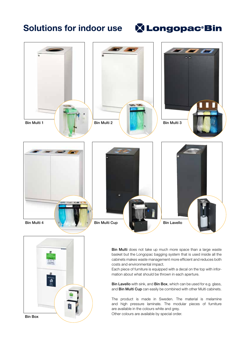## Solutions for indoor use

Bin Box

## **X Longopac Bin**



Each piece of furniture is equipped with a decal on the top with information about what should be thrown in each aperture.

Bin Lavello with sink, and Bin Box, which can be used for e.g. glass, and Bin Multi Cup can easily be combined with other Multi cabinets.

The product is made in Sweden. The material is melamine and high pressure laminate. The modular pieces of furniture are available in the colours white and grey. Other colours are available by special order.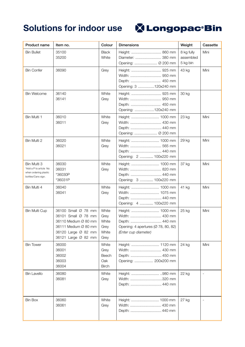

| Product name                                                                         | Item no.                                                                                                                                 | Colour                                          | <b>Dimensions</b>                                                                                                   | Weight                              | Cassette |
|--------------------------------------------------------------------------------------|------------------------------------------------------------------------------------------------------------------------------------------|-------------------------------------------------|---------------------------------------------------------------------------------------------------------------------|-------------------------------------|----------|
| <b>Bin Bullet</b>                                                                    | 35100<br>35200                                                                                                                           | <b>Black</b><br>White                           | Height:  860 mm<br>Diameter:  380 mm                                                                                | 8 kg fully<br>assembled<br>5 kg bin | Mini     |
| <b>Bin Confer</b>                                                                    | 36090                                                                                                                                    | Grey                                            | Height:  925 mm<br>Opening: 3 120x240 mm                                                                            | 43 kg                               | Mini     |
| <b>Bin Welcome</b>                                                                   | 36140<br>36141                                                                                                                           | White<br>Grey                                   | Height:  925 mm<br>Width:  950 mm<br>Opening: 120x240 mm                                                            | 30 kg                               |          |
| Bin Multi 1                                                                          | 36010<br>36011                                                                                                                           | White<br>Grey                                   | Height:  1000 mm                                                                                                    | 23 kg                               | Mini     |
| Bin Multi 2                                                                          | 36020<br>36021                                                                                                                           | White<br>Grey                                   | Width:  565 mm<br>Opening: 2  100x220 mm                                                                            | 29 kg                               | Mini     |
| Bin Multi 3<br>*Add a P to article No<br>when ordering plastic<br>bottles/Cans sign. | 36030<br>36031<br>*36030P<br>*36031P                                                                                                     | White<br>Grey                                   | Height:  1000 mm<br>Width:  820 mm<br>Depth:  440 mm<br>Opening: 3  100x220 mm                                      | 37 kg                               | Mini     |
| Bin Multi 4                                                                          | 36040<br>36041                                                                                                                           | White<br>Grey                                   | Height:  1000 mm<br>Depth:  440 mm<br>Opening: 4  100x220 mm                                                        | 41 kg                               | Mini     |
| <b>Bin Multi Cup</b>                                                                 | 36100 Small Ø 78 mm<br>36101 Small Ø 78 mm<br>36110 Medium Ø 80 mm<br>36111 Medium Ø 80 mm<br>36120 Large Ø 82 mm<br>36121 Large Ø 82 mm | White<br>Grey<br>White<br>Grey<br>White<br>Grey | Height:  1000 mm<br>Width:  430 mm<br>Depth:  440 mm<br>Opening: 4 apertures (Ø 78, 80, 82)<br>(Enter cup diameter) | 25 kg                               | Mini     |
| <b>Bin Tower</b>                                                                     | 36000<br>36001<br>36002<br>36003<br>36004                                                                                                | White<br>Grey<br>Beech<br>Oak<br><b>Birch</b>   | Depth:  450 mm<br>Opening:  200x200 mm                                                                              | 24 kg                               | Mini     |
| <b>Bin Lavello</b>                                                                   | 36080<br>36081                                                                                                                           | White<br>Grey                                   | Width: 320 mm                                                                                                       | 22 kg                               |          |
| <b>Bin Box</b>                                                                       | 36060<br>36061                                                                                                                           | White<br>Grey                                   | Height:  1000 mm                                                                                                    | 27 kg                               |          |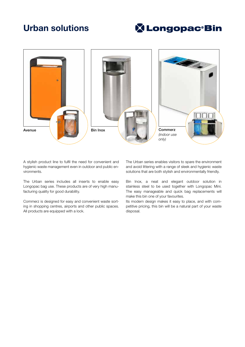## Urban solutions

## **X Longopac Bin**



A stylish product line to fulfil the need for convenient and hygienic waste management even in outdoor and public environments.

The Urban series includes all inserts to enable easy Longopac bag use. These products are of very high manufacturing quality for good durability.

Commerz is designed for easy and convenient waste sorting in shopping centres, airports and other public spaces. All products are equipped with a lock.

The Urban series enables visitors to spare the environment and avoid littering with a range of sleek and hygienic waste solutions that are both stylish and environmentally friendly.

Bin Inox, a neat and elegant outdoor solution in stainless steel to be used together with Longopac Mini. The easy manageable and quick bag replacements will make this bin one of your favourites.

Its modern design makes it easy to place, and with competitive pricing, this bin will be a natural part of your waste disposal.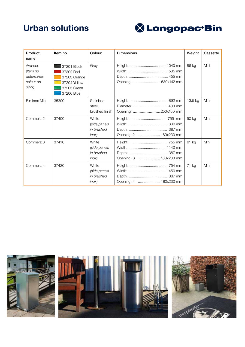## Urban solutions



| Product<br>name                                        | Item no.                                                                              | Colour                                          | <b>Dimensions</b>      | Weight  | Cassette |
|--------------------------------------------------------|---------------------------------------------------------------------------------------|-------------------------------------------------|------------------------|---------|----------|
| Avenue<br>(Item no<br>determines<br>colour on<br>door) | 37201 Black<br>37202 Red<br>37203 Orange<br>37204 Yellow<br>37205 Green<br>37206 Blue | Grey                                            | Opening:  530x142 mm   | 86 kg   | Midi     |
| Bin Inox Mini                                          | 35300                                                                                 | <b>Stainless</b><br>steel,<br>brushed finish    | Opening: 250x160 mm    | 13,5 kg | Mini     |
| Commerz 2                                              | 37400                                                                                 | White<br>(side panels<br>in brushed<br>$inox$ ) | Opening: 2  180x230 mm | 50 kg   | Mini     |
| Commerz 3                                              | 37410                                                                                 | White<br>(side panels<br>in brushed<br>$inox$ ) | Opening: 3  180x230 mm | 61 kg   | Mini     |
| Commerz 4                                              | 37420                                                                                 | White<br>(side panels<br>in brushed<br>inox)    | Opening: 4  180x230 mm | 71 kg   | Mini     |